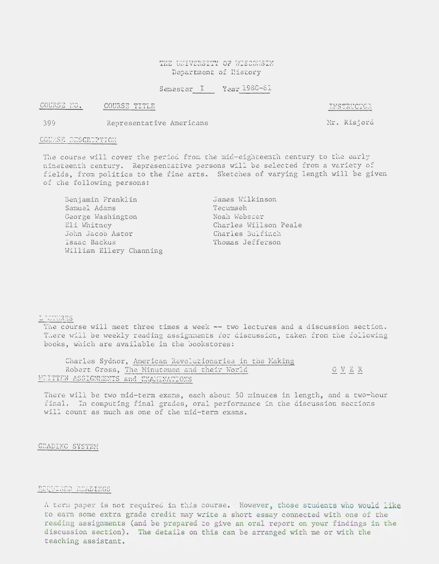### THE UNIVERSITY OF WISCONSIN Department of llistory

# Semester I Year 1980-81

COURSE NO. COURSE TITLE

INSTRUCTOR

Mr. Risjord

399 Representative Americans

### COURSE DESCRIPTION

The course will cover the period from the mid-eighteenth century to the early nineteenth century. Representative persons will be selected from *a* variety of fields, from politics to the fine arts. Sketches of varying length will be given of the following persons:

| Benjamin Franklin       | James Wilkinson       |  |  |
|-------------------------|-----------------------|--|--|
| Samuel Adams            | Tecumseh              |  |  |
| George Washington       | Noah Webster          |  |  |
| Eli Whitney             | Charles Willson Peale |  |  |
| John Jacob Astor        | Charles Bulfinch      |  |  |
| Isaac Backus            | Thomas Jefferson      |  |  |
| William Ellery Channing |                       |  |  |

# LECTURES

The course will meet three times a week -- two lectures and a discussion section. There will be weekly reading assignments for discussion, taken from the following books, which are available in the bookstores:

|                                      | Charles Sydnor, American Revolutionaries in the Making |      |  |
|--------------------------------------|--------------------------------------------------------|------|--|
|                                      | Robert Gross, The Minutemen and their World            | OVER |  |
| WOITTEN ASSIGNMENTS and ENAMINATIONS |                                                        |      |  |

There will be two mid-term exams, each about 50 minutes in length, and a two-hour final. In computing final grades, oral performance in the discussion sections will count as much as one of the mid-term exams.

GRADING SYSTEM

### REQUIRED READINGS

A term paper is not required in this course. However, those students who would like to earn some extra grade credit may write a short essay connected with one of the reading assignments (and be prepared to give an oral report on your findings in the discussion section). The details on this can be arranged with me or with the teaching assistant.